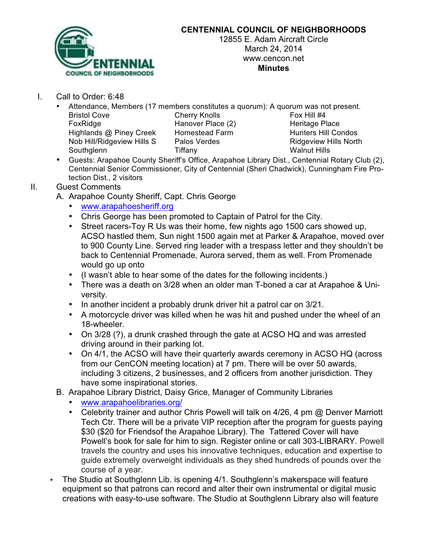

## **CENTENNIAL COUNCIL OF NEIGHBORHOODS**

12855 E. Adam Aircraft Circle March 24, 2014 www.cencon.net **Minutes**

- I. Call to Order: 6:48
	- Attendance, Members (17 members constitutes a quorum): A quorum was not present. Bristol Cove **Cherry Knolls Cherry Cherry Cherry Cherry Fox Hill #4** FoxRidge **Hanover Place (2)** Heritage Place Highlands @ Piney Creek Homestead Farm Hunters Hill Condos Nob Hill/Ridgeview Hills S Palos Verdes Ridgeview Hills North Southglenn Tiffany Tiffany Walnut Hills
	- Guests: Arapahoe County Sheriff's Office, Arapahoe Library Dist., Centennial Rotary Club (2), Centennial Senior Commissioner, City of Centennial (Sheri Chadwick), Cunningham Fire Protection Dist., 2 visitors

## II. Guest Comments

- A. Arapahoe County Sheriff, Capt. Chris George
	- www.arapahoesheriff.org
	- Chris George has been promoted to Captain of Patrol for the City.
	- Street racers-Toy R Us was their home, few nights ago 1500 cars showed up, ACSO hastled them, Sun night 1500 again met at Parker & Arapahoe, moved over to 900 County Line. Served ring leader with a trespass letter and they shouldn't be back to Centennial Promenade, Aurora served, them as well. From Promenade would go up onto
	- (I wasn't able to hear some of the dates for the following incidents.)
	- There was a death on 3/28 when an older man T-boned a car at Arapahoe & University.
	- In another incident a probably drunk driver hit a patrol car on 3/21.
	- A motorcycle driver was killed when he was hit and pushed under the wheel of an 18-wheeler.
	- On 3/28 (?), a drunk crashed through the gate at ACSO HQ and was arrested driving around in their parking lot.
	- On 4/1, the ACSO will have their quarterly awards ceremony in ACSO HQ (across from our CenCON meeting location) at 7 pm. There will be over 50 awards, including 3 citizens, 2 businesses, and 2 officers from another jurisdiction. They have some inspirational stories.
- B. Arapahoe Library District, Daisy Grice, Manager of Community Libraries
	- www.arapahoelibraries.org/
	- Celebrity trainer and author Chris Powell will talk on 4/26, 4 pm @ Denver Marriott Tech Ctr. There will be a private VIP reception after the program for guests paying \$30 (\$20 for Friendsof the Arapahoe Library). The Tattered Cover will have Powell's book for sale for him to sign. Register online or call 303-LIBRARY. Powell travels the country and uses his innovative techniques, education and expertise to guide extremely overweight individuals as they shed hundreds of pounds over the course of a year.
- The Studio at Southglenn Lib. is opening 4/1. Southglenn's makerspace will feature equipment so that patrons can record and alter their own instrumental or digital music creations with easy-to-use software. The Studio at Southglenn Library also will feature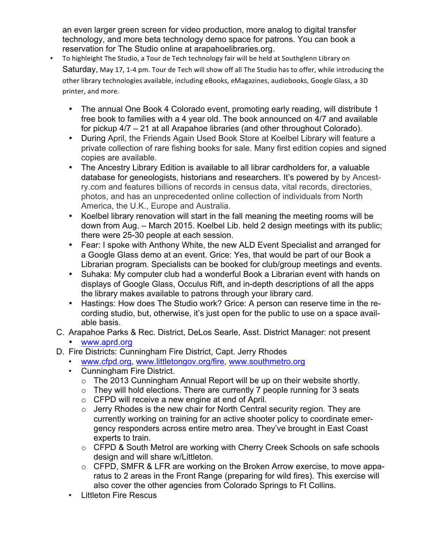an even larger green screen for video production, more analog to digital transfer technology, and more beta technology demo space for patrons. You can book a reservation for The Studio online at arapahoelibraries.org.

- To highleight The Studio, a Tour de Tech technology fair will be held at Southglenn Library on Saturday, May 17, 1-4 pm. Tour de Tech will show off all The Studio has to offer, while introducing the other library technologies available, including eBooks, eMagazines, audiobooks, Google Glass, a 3D printer, and more.
	- The annual One Book 4 Colorado event, promoting early reading, will distribute 1 free book to families with a 4 year old. The book announced on 4/7 and available for pickup 4/7 – 21 at all Arapahoe libraries (and other throughout Colorado).
	- During April, the Friends Again Used Book Store at Koelbel Library will feature a private collection of rare fishing books for sale. Many first edition copies and signed copies are available.
	- The Ancestry Library Edition is available to all librar cardholders for, a valuable database for geneologists, historians and researchers. It's powered by by Ancestry.com and features billions of records in census data, vital records, directories, photos, and has an unprecedented online collection of individuals from North America, the U.K., Europe and Australia.
	- Koelbel library renovation will start in the fall meaning the meeting rooms will be down from Aug. – March 2015. Koelbel Lib. held 2 design meetings with its public; there were 25-30 people at each session.
	- Fear: I spoke with Anthony White, the new ALD Event Specialist and arranged for a Google Glass demo at an event. Grice: Yes, that would be part of our Book a Librarian program. Specialists can be booked for club/group meetings and events.
	- Suhaka: My computer club had a wonderful Book a Librarian event with hands on displays of Google Glass, Occulus Rift, and in-depth descriptions of all the apps the library makes available to patrons through your library card.
	- Hastings: How does The Studio work? Grice: A person can reserve time in the recording studio, but, otherwise, it's just open for the public to use on a space available basis.
	- C. Arapahoe Parks & Rec. District, DeLos Searle, Asst. District Manager: not present • www.aprd.org
	- D. Fire Districts: Cunningham Fire District, Capt. Jerry Rhodes
		- www.cfpd.org, www.littletongov.org/fire, www.southmetro.org
		- Cunningham Fire District.
			- o The 2013 Cunningham Annual Report will be up on their website shortly.
			- $\circ$  They will hold elections. There are currently 7 people running for 3 seats
			- o CFPD will receive a new engine at end of April.
			- $\circ$  Jerry Rhodes is the new chair for North Central security region. They are currently working on training for an active shooter policy to coordinate emergency responders across entire metro area. They've brought in East Coast experts to train.
			- o CFPD & South Metrol are working with Cherry Creek Schools on safe schools design and will share w/Littleton.
			- o CFPD, SMFR & LFR are working on the Broken Arrow exercise, to move apparatus to 2 areas in the Front Range (preparing for wild fires). This exercise will also cover the other agencies from Colorado Springs to Ft Collins.
		- Littleton Fire Rescus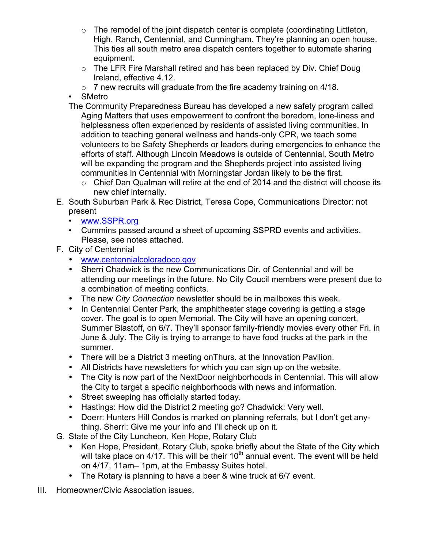- $\circ$  The remodel of the joint dispatch center is complete (coordinating Littleton, High. Ranch, Centennial, and Cunningham. They're planning an open house. This ties all south metro area dispatch centers together to automate sharing equipment.
- o The LFR Fire Marshall retired and has been replaced by Div. Chief Doug Ireland, effective 4.12.
- $\circ$  7 new recruits will graduate from the fire academy training on 4/18.
- SMetro
- The Community Preparedness Bureau has developed a new safety program called Aging Matters that uses empowerment to confront the boredom, lone-liness and helplessness often experienced by residents of assisted living communities. In addition to teaching general wellness and hands-only CPR, we teach some volunteers to be Safety Shepherds or leaders during emergencies to enhance the efforts of staff. Although Lincoln Meadows is outside of Centennial, South Metro will be expanding the program and the Shepherds project into assisted living communities in Centennial with Morningstar Jordan likely to be the first.
	- o Chief Dan Qualman will retire at the end of 2014 and the district will choose its new chief internally.
- E. South Suburban Park & Rec District, Teresa Cope, Communications Director: not present
	- www.SSPR.org
	- Cummins passed around a sheet of upcoming SSPRD events and activities. Please, see notes attached.
- F. City of Centennial
	- www.centennialcoloradoco.gov
	- Sherri Chadwick is the new Communications Dir. of Centennial and will be attending our meetings in the future. No City Coucil members were present due to a combination of meeting conflicts.
	- The new *City Connection* newsletter should be in mailboxes this week.
	- In Centennial Center Park, the amphitheater stage covering is getting a stage cover. The goal is to open Memorial. The City will have an opening concert, Summer Blastoff, on 6/7. They'll sponsor family-friendly movies every other Fri. in June & July. The City is trying to arrange to have food trucks at the park in the summer.
	- There will be a District 3 meeting onThurs. at the Innovation Pavilion.
	- All Districts have newsletters for which you can sign up on the website.
	- The City is now part of the NextDoor neighborhoods in Centennial. This will allow the City to target a specific neighborhoods with news and information.
	- Street sweeping has officially started today.
	- Hastings: How did the District 2 meeting go? Chadwick: Very well.
	- Doerr: Hunters Hill Condos is marked on planning referrals, but I don't get anything. Sherri: Give me your info and I'll check up on it.
- G. State of the City Luncheon, Ken Hope, Rotary Club
	- Ken Hope, President, Rotary Club, spoke briefly about the State of the City which will take place on  $4/17$ . This will be their  $10<sup>th</sup>$  annual event. The event will be held on 4/17, 11am– 1pm, at the Embassy Suites hotel.
	- The Rotary is planning to have a beer & wine truck at 6/7 event.
- III. Homeowner/Civic Association issues.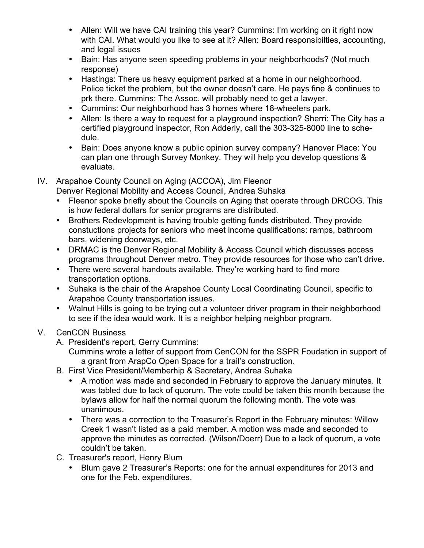- Allen: Will we have CAI training this year? Cummins: I'm working on it right now with CAI. What would you like to see at it? Allen: Board responsibilties, accounting, and legal issues
- Bain: Has anyone seen speeding problems in your neighborhoods? (Not much response)
- Hastings: There us heavy equipment parked at a home in our neighborhood. Police ticket the problem, but the owner doesn't care. He pays fine & continues to prk there. Cummins: The Assoc. will probably need to get a lawyer.
- Cummins: Our neighborhood has 3 homes where 18-wheelers park.
- Allen: Is there a way to request for a playground inspection? Sherri: The City has a certified playground inspector, Ron Adderly, call the 303-325-8000 line to schedule.
- Bain: Does anyone know a public opinion survey company? Hanover Place: You can plan one through Survey Monkey. They will help you develop questions & evaluate.
- IV. Arapahoe County Council on Aging (ACCOA), Jim Fleenor
	- Denver Regional Mobility and Access Council, Andrea Suhaka
		- Fleenor spoke briefly about the Councils on Aging that operate through DRCOG. This is how federal dollars for senior programs are distributed.
		- Brothers Redevlopment is having trouble getting funds distributed. They provide constuctions projects for seniors who meet income qualifications: ramps, bathroom bars, widening doorways, etc.
	- DRMAC is the Denver Regional Mobility & Access Council which discusses access programs throughout Denver metro. They provide resources for those who can't drive.
	- There were several handouts available. They're working hard to find more transportation options.
	- Suhaka is the chair of the Arapahoe County Local Coordinating Council, specific to Arapahoe County transportation issues.
	- Walnut Hills is going to be trying out a volunteer driver program in their neighborhood to see if the idea would work. It is a neighbor helping neighbor program.
- V. CenCON Business
	- A. President's report, Gerry Cummins:
		- Cummins wrote a letter of support from CenCON for the SSPR Foudation in support of a grant from ArapCo Open Space for a trail's construction.
	- B. First Vice President/Memberhip & Secretary, Andrea Suhaka
		- A motion was made and seconded in February to approve the January minutes. It was tabled due to lack of quorum. The vote could be taken this month because the bylaws allow for half the normal quorum the following month. The vote was unanimous.
		- There was a correction to the Treasurer's Report in the February minutes: Willow Creek 1 wasn't listed as a paid member. A motion was made and seconded to approve the minutes as corrected. (Wilson/Doerr) Due to a lack of quorum, a vote couldn't be taken.
	- C. Treasurer's report, Henry Blum
		- Blum gave 2 Treasurer's Reports: one for the annual expenditures for 2013 and one for the Feb. expenditures.